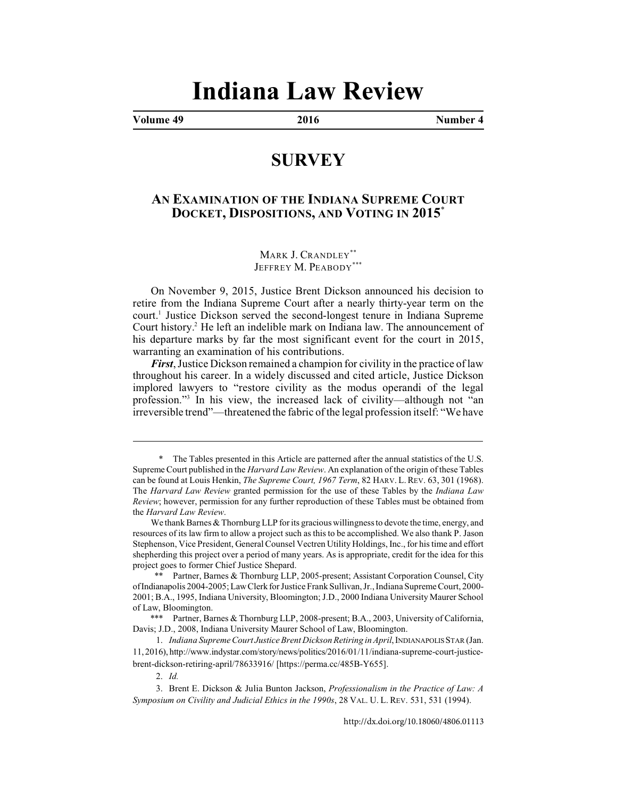# **Indiana Law Review**

**Volume 49 2016 Number 4**

## **SURVEY**

## **AN EXAMINATION OF THE INDIANA SUPREME COURT DOCKET, DISPOSITIONS, AND VOTING IN 2015**\*

MARK J. CRANDLEY\*\* JEFFREY M. PEABODY\*\*\*

On November 9, 2015, Justice Brent Dickson announced his decision to retire from the Indiana Supreme Court after a nearly thirty-year term on the court.<sup>1</sup> Justice Dickson served the second-longest tenure in Indiana Supreme Court history.<sup>2</sup> He left an indelible mark on Indiana law. The announcement of his departure marks by far the most significant event for the court in 2015, warranting an examination of his contributions.

*First*, Justice Dickson remained a champion for civility in the practice of law throughout his career. In a widely discussed and cited article, Justice Dickson implored lawyers to "restore civility as the modus operandi of the legal profession."<sup>3</sup> In his view, the increased lack of civility—although not "an irreversible trend"—threatened the fabric of the legal profession itself: "We have

<sup>\*</sup> The Tables presented in this Article are patterned after the annual statistics of the U.S. Supreme Court published in the *Harvard Law Review*. An explanation of the origin of these Tables can be found at Louis Henkin, *The Supreme Court, 1967 Term*, 82 HARV. L.REV. 63, 301 (1968). The *Harvard Law Review* granted permission for the use of these Tables by the *Indiana Law Review*; however, permission for any further reproduction of these Tables must be obtained from the *Harvard Law Review*.

We thank Barnes & Thornburg LLP for its gracious willingness to devote the time, energy, and resources of its law firm to allow a project such as this to be accomplished. We also thank P. Jason Stephenson, Vice President, General Counsel Vectren Utility Holdings, Inc., for his time and effort shepherding this project over a period of many years. As is appropriate, credit for the idea for this project goes to former Chief Justice Shepard.

<sup>\*\*</sup> Partner, Barnes & Thornburg LLP, 2005-present; Assistant Corporation Counsel, City of Indianapolis 2004-2005; Law Clerk for Justice Frank Sullivan, Jr., Indiana Supreme Court, 2000- 2001; B.A., 1995, Indiana University, Bloomington; J.D., 2000 Indiana University Maurer School of Law, Bloomington.

<sup>\*\*\*</sup> Partner, Barnes & Thornburg LLP, 2008-present; B.A., 2003, University of California, Davis; J.D., 2008, Indiana University Maurer School of Law, Bloomington.

<sup>1.</sup> *Indiana Supreme Court Justice Brent Dickson Retiring in April*, INDIANAPOLIS STAR (Jan. 11, 2016), http://www.indystar.com/story/news/politics/2016/01/11/indiana-supreme-court-justicebrent-dickson-retiring-april/78633916/ [https://perma.cc/485B-Y655].

<sup>2.</sup> *Id.*

<sup>3.</sup> Brent E. Dickson & Julia Bunton Jackson, *Professionalism in the Practice of Law: A Symposium on Civility and Judicial Ethics in the 1990s*, 28 VAL. U. L. REV. 531, 531 (1994).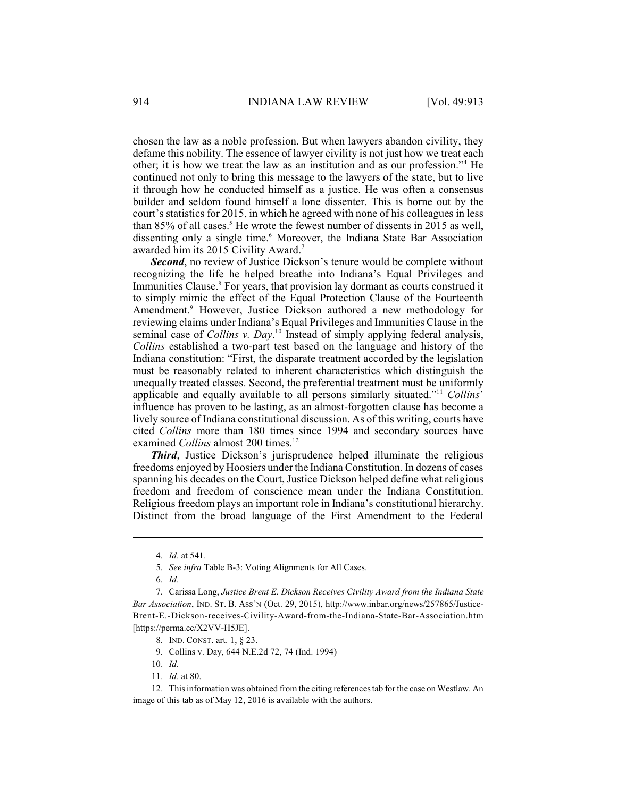chosen the law as a noble profession. But when lawyers abandon civility, they defame this nobility. The essence of lawyer civility is not just how we treat each other; it is how we treat the law as an institution and as our profession."<sup>4</sup> He continued not only to bring this message to the lawyers of the state, but to live it through how he conducted himself as a justice. He was often a consensus builder and seldom found himself a lone dissenter. This is borne out by the court's statistics for 2015, in which he agreed with none of his colleagues in less than 85% of all cases.<sup>5</sup> He wrote the fewest number of dissents in 2015 as well, dissenting only a single time.<sup>6</sup> Moreover, the Indiana State Bar Association awarded him its 2015 Civility Award.<sup>7</sup>

*Second*, no review of Justice Dickson's tenure would be complete without recognizing the life he helped breathe into Indiana's Equal Privileges and Immunities Clause.<sup>8</sup> For years, that provision lay dormant as courts construed it to simply mimic the effect of the Equal Protection Clause of the Fourteenth Amendment.<sup>9</sup> However, Justice Dickson authored a new methodology for reviewing claims under Indiana's Equal Privileges and Immunities Clause in the seminal case of *Collins v. Day*.<sup>10</sup> Instead of simply applying federal analysis, *Collins* established a two-part test based on the language and history of the Indiana constitution: "First, the disparate treatment accorded by the legislation must be reasonably related to inherent characteristics which distinguish the unequally treated classes. Second, the preferential treatment must be uniformly applicable and equally available to all persons similarly situated."<sup>11</sup> Collins' influence has proven to be lasting, as an almost-forgotten clause has become a lively source of Indiana constitutional discussion. As of this writing, courts have cited *Collins* more than 180 times since 1994 and secondary sources have examined *Collins* almost 200 times.<sup>12</sup>

*Third*, Justice Dickson's jurisprudence helped illuminate the religious freedoms enjoyed by Hoosiers under the Indiana Constitution. In dozens of cases spanning his decades on the Court, Justice Dickson helped define what religious freedom and freedom of conscience mean under the Indiana Constitution. Religious freedom plays an important role in Indiana's constitutional hierarchy. Distinct from the broad language of the First Amendment to the Federal

- 10. *Id.*
- 11. *Id.* at 80.

12. This information was obtained from the citing referencestab for the case on Westlaw. An image of this tab as of May 12, 2016 is available with the authors.

<sup>4.</sup> *Id.* at 541.

<sup>5.</sup> *See infra* Table B-3: Voting Alignments for All Cases.

<sup>6.</sup> *Id.*

<sup>7.</sup> Carissa Long, *Justice Brent E. Dickson Receives Civility Award from the Indiana State Bar Association*, IND. ST. B. ASS'N (Oct. 29, 2015), http://www.inbar.org/news/257865/Justice-Brent-E.-Dickson-receives-Civility-Award-from-the-Indiana-State-Bar-Association.htm [https://perma.cc/X2VV-H5JE].

<sup>8.</sup> IND. CONST. art. 1, § 23.

<sup>9.</sup> Collins v. Day, 644 N.E.2d 72, 74 (Ind. 1994)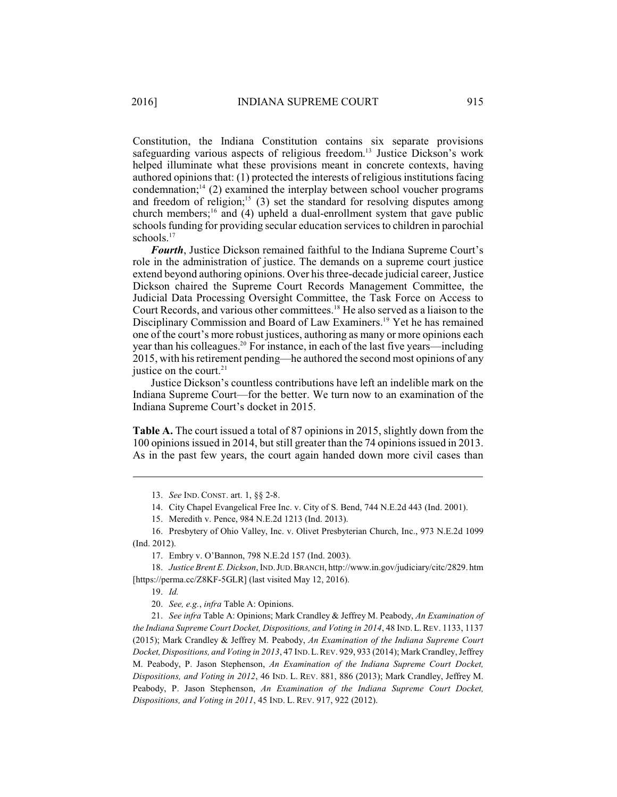Constitution, the Indiana Constitution contains six separate provisions safeguarding various aspects of religious freedom.<sup>13</sup> Justice Dickson's work helped illuminate what these provisions meant in concrete contexts, having authored opinions that: (1) protected the interests of religious institutions facing condemnation; $^{14}$  (2) examined the interplay between school voucher programs and freedom of religion;<sup>15</sup> (3) set the standard for resolving disputes among church members;  $^{16}$  and (4) upheld a dual-enrollment system that gave public schools funding for providing secular education services to children in parochial schools.<sup>17</sup>

*Fourth*, Justice Dickson remained faithful to the Indiana Supreme Court's role in the administration of justice. The demands on a supreme court justice extend beyond authoring opinions. Over his three-decade judicial career, Justice Dickson chaired the Supreme Court Records Management Committee, the Judicial Data Processing Oversight Committee, the Task Force on Access to Court Records, and various other committees.<sup>18</sup> He also served as a liaison to the Disciplinary Commission and Board of Law Examiners.<sup>19</sup> Yet he has remained one of the court's more robust justices, authoring as many or more opinions each year than his colleagues.<sup>20</sup> For instance, in each of the last five years—including 2015, with hisretirement pending—he authored the second most opinions of any justice on the court. $21$ 

Justice Dickson's countless contributions have left an indelible mark on the Indiana Supreme Court—for the better. We turn now to an examination of the Indiana Supreme Court's docket in 2015.

**Table A.** The court issued a total of 87 opinions in 2015, slightly down from the 100 opinions issued in 2014, but still greater than the 74 opinions issued in 2013. As in the past few years, the court again handed down more civil cases than

13. *See* IND. CONST. art. 1, §§ 2-8.

14. City Chapel Evangelical Free Inc. v. City of S. Bend, 744 N.E.2d 443 (Ind. 2001).

15. Meredith v. Pence, 984 N.E.2d 1213 (Ind. 2013).

16. Presbytery of Ohio Valley, Inc. v. Olivet Presbyterian Church, Inc., 973 N.E.2d 1099 (Ind. 2012).

17. Embry v. O'Bannon, 798 N.E.2d 157 (Ind. 2003).

18. *Justice Brent E. Dickson*, IND.JUD.BRANCH, http://www.in.gov/judiciary/citc/2829. htm [https://perma.cc/Z8KF-5GLR] (last visited May 12, 2016).

19. *Id.*

20. *See, e.g.*, *infra* Table A: Opinions.

21. *See infra* Table A: Opinions; Mark Crandley & Jeffrey M. Peabody, *An Examination of the Indiana Supreme Court Docket, Dispositions, and Voting in 2014*, 48 IND.L.REV[. 1133, 11](http://dx.doi.org/10.18060/4806.0036)37 (2015); Mark Crandley & Jeffrey M. Peabody, *An Examination of the Indiana Supreme Court Docket, Dispositions, and Voting in 2013*, 47 IND.L.REV. 929, 933 (2014); Mark Crandley, Jeffrey M. Peabody, P. Jason Stephenson, *An Examination of the Indiana Supreme Court Docket, Dispositions, and Voting in 2012*, 46 IND. L. REV. 881, 886 (2013); Mark Crandley, Jeffrey M. Peabody, P. Jason Stephenson, *An Examination of the Indiana Supreme Court Docket, Dispositions, and Voting in 2011*, 45 IND. L. REV. 917, 922 (2012).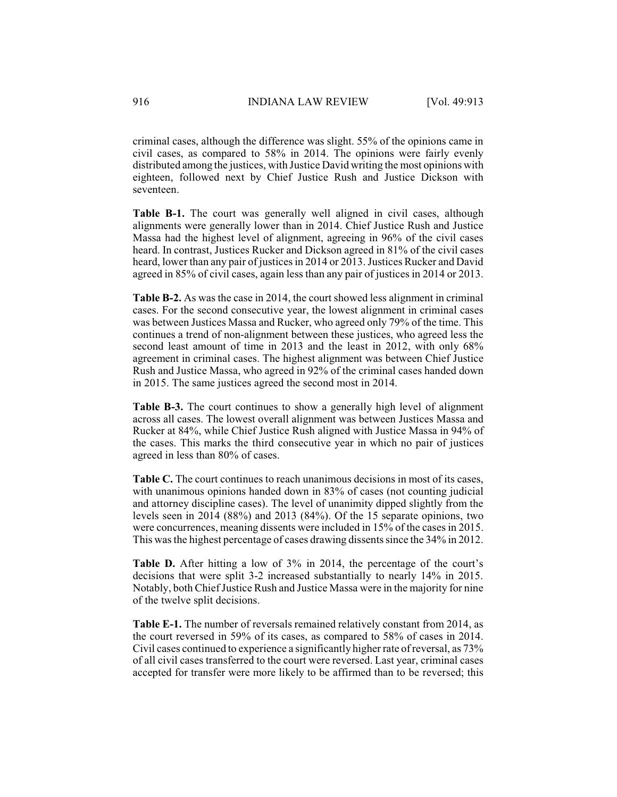criminal cases, although the difference was slight. 55% of the opinions came in civil cases, as compared to 58% in 2014. The opinions were fairly evenly distributed among the justices, with Justice David writing the most opinions with eighteen, followed next by Chief Justice Rush and Justice Dickson with seventeen.

**Table B-1.** The court was generally well aligned in civil cases, although alignments were generally lower than in 2014. Chief Justice Rush and Justice Massa had the highest level of alignment, agreeing in 96% of the civil cases heard. In contrast, Justices Rucker and Dickson agreed in 81% of the civil cases heard, lower than any pair of justices in 2014 or 2013. Justices Rucker and David agreed in 85% of civil cases, again less than any pair of justices in 2014 or 2013.

**Table B-2.** As was the case in 2014, the court showed less alignment in criminal cases. For the second consecutive year, the lowest alignment in criminal cases was between Justices Massa and Rucker, who agreed only 79% of the time. This continues a trend of non-alignment between these justices, who agreed less the second least amount of time in 2013 and the least in 2012, with only 68% agreement in criminal cases. The highest alignment was between Chief Justice Rush and Justice Massa, who agreed in 92% of the criminal cases handed down in 2015. The same justices agreed the second most in 2014.

**Table B-3.** The court continues to show a generally high level of alignment across all cases. The lowest overall alignment was between Justices Massa and Rucker at 84%, while Chief Justice Rush aligned with Justice Massa in 94% of the cases. This marks the third consecutive year in which no pair of justices agreed in less than 80% of cases.

**Table C.** The court continues to reach unanimous decisions in most of its cases, with unanimous opinions handed down in 83% of cases (not counting judicial and attorney discipline cases). The level of unanimity dipped slightly from the levels seen in 2014 (88%) and 2013 (84%). Of the 15 separate opinions, two were concurrences, meaning dissents were included in 15% of the cases in 2015. This was the highest percentage of cases drawing dissents since the 34% in 2012.

**Table D.** After hitting a low of 3% in 2014, the percentage of the court's decisions that were split 3-2 increased substantially to nearly 14% in 2015. Notably, both Chief Justice Rush and Justice Massa were in the majority for nine of the twelve split decisions.

**Table E-1.** The number of reversals remained relatively constant from 2014, as the court reversed in 59% of its cases, as compared to 58% of cases in 2014. Civil cases continued to experience a significantly higherrate of reversal, as 73% of all civil cases transferred to the court were reversed. Last year, criminal cases accepted for transfer were more likely to be affirmed than to be reversed; this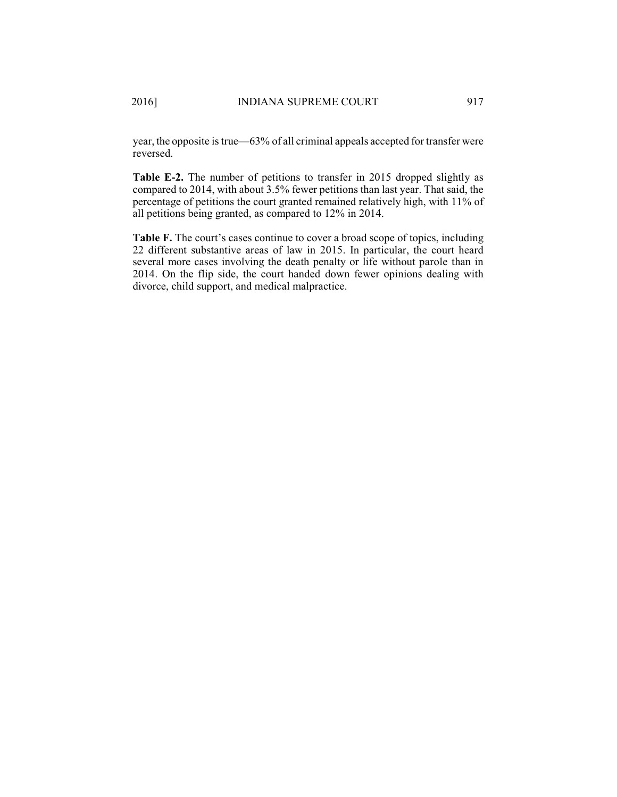year, the opposite istrue—63% of all criminal appeals accepted for transfer were reversed.

**Table E-2.** The number of petitions to transfer in 2015 dropped slightly as compared to 2014, with about 3.5% fewer petitions than last year. That said, the percentage of petitions the court granted remained relatively high, with 11% of all petitions being granted, as compared to 12% in 2014.

**Table F.** The court's cases continue to cover a broad scope of topics, including 22 different substantive areas of law in 2015. In particular, the court heard several more cases involving the death penalty or life without parole than in 2014. On the flip side, the court handed down fewer opinions dealing with divorce, child support, and medical malpractice.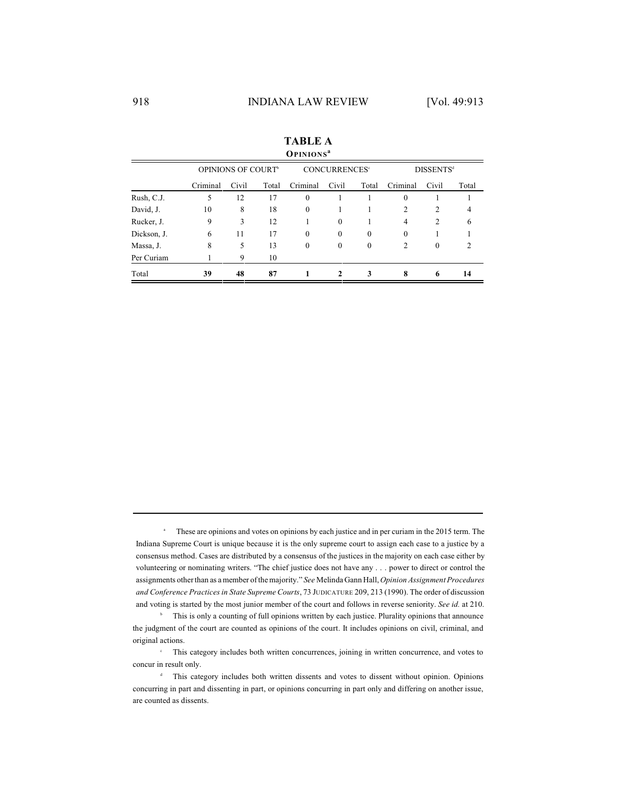| <b>VIIIIUI</b> I |          |                                |       |          |                                 |              |                  |                  |       |  |
|------------------|----------|--------------------------------|-------|----------|---------------------------------|--------------|------------------|------------------|-------|--|
|                  |          | OPINIONS OF COURT <sup>®</sup> |       |          | <b>CONCURRENCES<sup>®</sup></b> |              |                  | <b>DISSENTSd</b> |       |  |
|                  | Criminal | Civil                          | Total | Criminal | Civil                           | Total        | Criminal         | Civil            | Total |  |
| Rush, C.J.       | 5        | 12                             | 17    | $\theta$ |                                 |              | $\boldsymbol{0}$ |                  |       |  |
| David, J.        | 10       | 8                              | 18    | $\theta$ | 1                               |              | $\overline{c}$   | $\overline{c}$   | 4     |  |
| Rucker, J.       | 9        | 3                              | 12    |          | $\mathbf{0}$                    |              | 4                | $\overline{c}$   | 6     |  |
| Dickson, J.      | 6        | 11                             | 17    | $\theta$ | $\mathbf{0}$                    | $\theta$     | $\mathbf{0}$     |                  |       |  |
| Massa, J.        | 8        | 5                              | 13    | $\theta$ | $\mathbf{0}$                    | $\mathbf{0}$ | 2                | $\boldsymbol{0}$ | 2     |  |
| Per Curiam       |          | 9                              | 10    |          |                                 |              |                  |                  |       |  |
| Total            | 39       | 48                             | 87    |          | 2                               | 3            | 8                | 6                | 14    |  |

**TABLE A OPINIONS a**

<sup>a</sup> These are opinions and votes on opinions by each justice and in per curiam in the 2015 term. The Indiana Supreme Court is unique because it is the only supreme court to assign each case to a justice by a consensus method. Cases are distributed by a consensus of the justices in the majority on each case either by volunteering or nominating writers. "The chief justice does not have any . . . power to direct or control the assignments other than as a member of the majority." *See* Melinda Gann Hall, *Opinion Assignment Procedures and Conference Practices in State Supreme Courts*, 73 JUDICATURE 209, 213 (1990). The order of discussion and voting is started by the most junior member of the court and follows in reverse seniority. *See id.* at 210.

<sup>b</sup> This is only a counting of full opinions written by each justice. Plurality opinions that announce the judgment of the court are counted as opinions of the court. It includes opinions on civil, criminal, and original actions.

<sup>e</sup> This category includes both written concurrences, joining in written concurrence, and votes to concur in result only.

<sup>d</sup> This category includes both written dissents and votes to dissent without opinion. Opinions concurring in part and dissenting in part, or opinions concurring in part only and differing on another issue, are counted as dissents.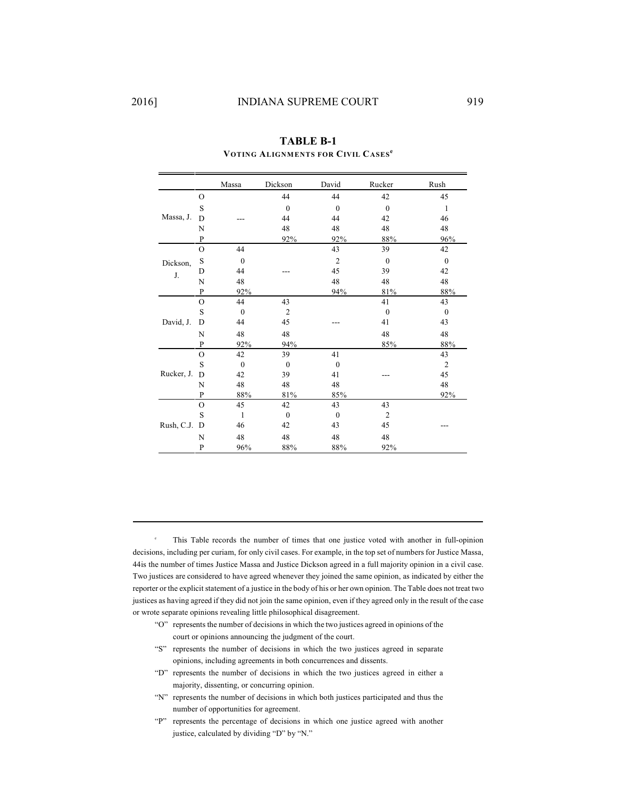|            |               | Massa            | Dickson          | David          | Rucker         | ${\it Rush}$     |
|------------|---------------|------------------|------------------|----------------|----------------|------------------|
|            | $\circ$       |                  | 44               | 44             | 42             | 45               |
|            | S             |                  | $\mathbf{0}$     | $\mathbf{0}$   | $\mathbf{0}$   | 1                |
| Massa, J.  | D             |                  | 44               | 44             | 42             | 46               |
|            | N             |                  | 48               | 48             | 48             | 48               |
|            | $\mathbf{P}$  |                  | 92%              | 92%            | 88%            | 96%              |
|            | $\mathcal{O}$ | 44               |                  | 43             | 39             | 42               |
| Dickson,   | S             | $\mathbf{0}$     |                  | $\overline{2}$ | $\mathbf{0}$   | $\boldsymbol{0}$ |
| J.         | D             | 44               |                  | 45             | 39             | 42               |
|            | N             | 48               |                  | 48             | 48             | 48               |
|            | ${\bf P}$     | 92%              |                  | 94%            | 81%            | 88%              |
|            | $\mathcal{O}$ | 44               | 43               |                | 41             | 43               |
|            | S             | $\mathbf{0}$     | $\overline{2}$   |                | $\mathbf{0}$   | $\boldsymbol{0}$ |
| David, J.  | D             | 44               | 45               |                | 41             | 43               |
|            | N             | 48               | 48               |                | 48             | 48               |
|            | P             | 92%              | 94%              |                | 85%            | 88%              |
|            | $\circ$       | 42               | 39               | 41             |                | 43               |
|            | S             | $\boldsymbol{0}$ | $\mathbf{0}$     | $\mathbf{0}$   |                | $\overline{2}$   |
| Rucker, J. | D             | 42               | 39               | 41             |                | 45               |
|            | N             | 48               | 48               | 48             |                | 48               |
|            | P             | 88%              | 81%              | 85%            |                | 92%              |
|            | $\mathbf{O}$  | 45               | 42               | 43             | 43             |                  |
|            | S             | $\mathbf{1}$     | $\boldsymbol{0}$ | $\mathbf{0}$   | $\overline{2}$ |                  |
| Rush, C.J. | D             | 46               | 42               | 43             | 45             |                  |
|            | N             | 48               | 48               | 48             | 48             |                  |
|            | P             | 96%              | 88%              | 88%            | 92%            |                  |

**TABLE B-1 VOTING ALIGNMENTS FOR CIVIL CASES e**

This Table records the number of times that one justice voted with another in full-opinion decisions, including per curiam, for only civil cases. For example, in the top set of numbers for Justice Massa, 44is the number of times Justice Massa and Justice Dickson agreed in a full majority opinion in a civil case. Two justices are considered to have agreed whenever they joined the same opinion, as indicated by either the reporter or the explicit statement of a justice in the body of his or her own opinion. The Table does not treat two justices as having agreed if they did not join the same opinion, even if they agreed only in the result of the case or wrote separate opinions revealing little philosophical disagreement.

- "O" represents the number of decisions in which the two justices agreed in opinions of the court or opinions announcing the judgment of the court.
- "S" represents the number of decisions in which the two justices agreed in separate opinions, including agreements in both concurrences and dissents.
- "D" represents the number of decisions in which the two justices agreed in either a majority, dissenting, or concurring opinion.
- "N" represents the number of decisions in which both justices participated and thus the number of opportunities for agreement.
- "P" represents the percentage of decisions in which one justice agreed with another justice, calculated by dividing "D" by "N."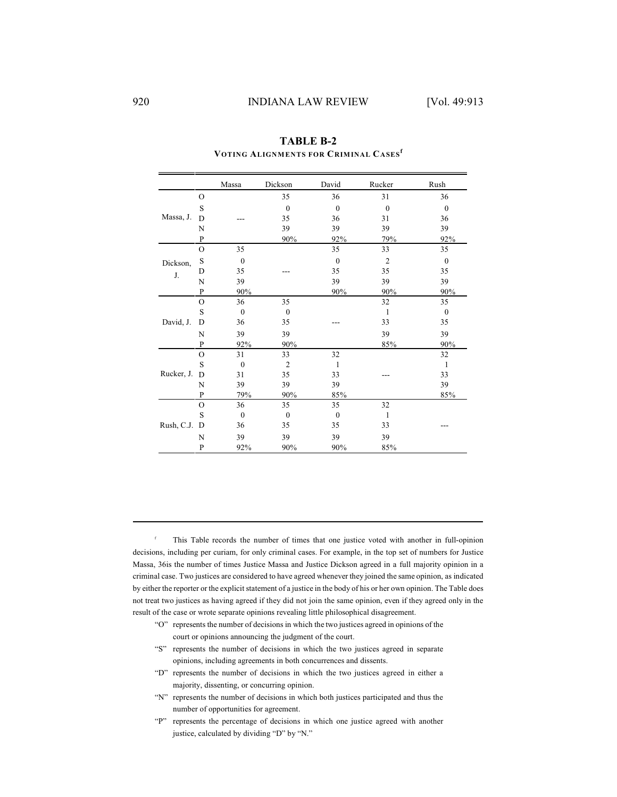|            |               | Massa        | Dickson        | David        | Rucker         | Rush             |
|------------|---------------|--------------|----------------|--------------|----------------|------------------|
|            | $\Omega$      |              | 35             | 36           | 31             | 36               |
|            | S             |              | $\mathbf{0}$   | $\mathbf{0}$ | $\overline{0}$ | $\mathbf{0}$     |
| Massa, J.  | D             |              | 35             | 36           | 31             | 36               |
|            | N             |              | 39             | 39           | 39             | 39               |
|            | $\mathbf{P}$  |              | 90%            | 92%          | 79%            | 92%              |
|            | $\circ$       | 35           |                | 35           | 33             | 35               |
| Dickson,   | S             | $\mathbf{0}$ |                | $\theta$     | $\overline{2}$ | $\boldsymbol{0}$ |
| J.         | D             | 35           |                | 35           | 35             | 35               |
|            | N             | 39           |                | 39           | 39             | 39               |
|            | ${\bf P}$     | 90%          |                | 90%          | 90%            | 90%              |
|            | $\mathcal{O}$ | 36           | 35             |              | 32             | 35               |
|            | S             | $\mathbf{0}$ | $\mathbf{0}$   |              | 1              | $\mathbf{0}$     |
| David, J.  | D             | 36           | 35             |              | 33             | 35               |
|            | N             | 39           | 39             |              | 39             | 39               |
|            | P             | 92%          | 90%            |              | 85%            | 90%              |
|            | $\mathcal{O}$ | 31           | 33             | 32           |                | 32               |
|            | S             | $\mathbf{0}$ | $\overline{2}$ | 1            |                | 1                |
| Rucker, J. | D             | 31           | 35             | 33           |                | 33               |
|            | N             | 39           | 39             | 39           |                | 39               |
|            | P             | 79%          | 90%            | 85%          |                | 85%              |
|            | $\mathbf{O}$  | 36           | 35             | 35           | 32             |                  |
|            | S             | $\theta$     | $\mathbf{0}$   | $\mathbf{0}$ | 1              |                  |
| Rush, C.J. | D             | 36           | 35             | 35           | 33             |                  |
|            | N             | 39           | 39             | 39           | 39             |                  |
|            | P             | 92%          | 90%            | 90%          | 85%            |                  |

**TABLE B-2 VOTING ALIGNMENTS FOR CRIMINAL CASES f**

This Table records the number of times that one justice voted with another in full-opinion decisions, including per curiam, for only criminal cases. For example, in the top set of numbers for Justice Massa, 36is the number of times Justice Massa and Justice Dickson agreed in a full majority opinion in a criminal case. Two justices are considered to have agreed whenever they joined the same opinion, as indicated by either the reporter or the explicit statement of a justice in the body of his or her own opinion. The Table does not treat two justices as having agreed if they did not join the same opinion, even if they agreed only in the result of the case or wrote separate opinions revealing little philosophical disagreement.

- "O" represents the number of decisions in which the two justices agreed in opinions of the court or opinions announcing the judgment of the court.
- "S" represents the number of decisions in which the two justices agreed in separate opinions, including agreements in both concurrences and dissents.
- "D" represents the number of decisions in which the two justices agreed in either a majority, dissenting, or concurring opinion.
- "N" represents the number of decisions in which both justices participated and thus the number of opportunities for agreement.
- "P" represents the percentage of decisions in which one justice agreed with another justice, calculated by dividing "D" by "N."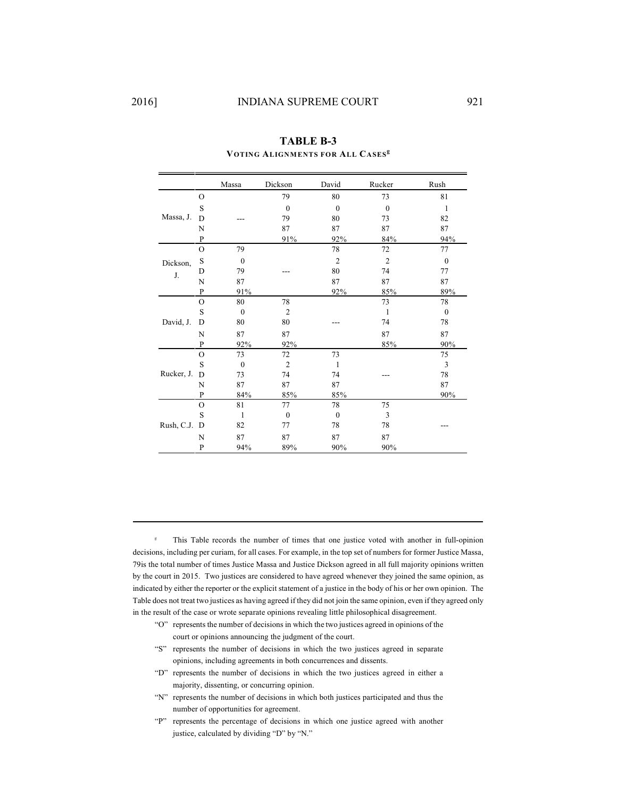|            |                | Massa        | Dickson        | David          | Rucker         | Rush             |
|------------|----------------|--------------|----------------|----------------|----------------|------------------|
|            | $\Omega$       |              | 79             | 80             | 73             | 81               |
|            | S              |              | $\mathbf{0}$   | $\mathbf{0}$   | $\mathbf{0}$   | 1                |
| Massa, J.  | D              |              | 79             | 80             | 73             | 82               |
|            | N              |              | 87             | 87             | 87             | 87               |
|            | $\mathbf{P}$   |              | 91%            | 92%            | 84%            | 94%              |
|            | $\mathcal{O}$  | 79           |                | 78             | 72             | 77               |
| Dickson,   | S              | $\mathbf{0}$ |                | $\overline{c}$ | $\overline{c}$ | $\mathbf{0}$     |
| J.         | D              | 79           |                | 80             | 74             | 77               |
|            | N              | 87           |                | 87             | 87             | 87               |
|            | P              | 91%          |                | 92%            | 85%            | 89%              |
|            | $\mathcal{O}$  | 80           | 78             |                | 73             | 78               |
|            | S              | $\mathbf{0}$ | $\overline{2}$ |                | $\mathbf{1}$   | $\boldsymbol{0}$ |
| David, J.  | D              | 80           | 80             |                | 74             | 78               |
|            | N              | 87           | 87             |                | 87             | 87               |
|            | P              | 92%          | 92%            |                | 85%            | 90%              |
|            | $\Omega$       | 73           | 72             | 73             |                | 75               |
|            | S              | $\mathbf{0}$ | $\overline{2}$ | 1              |                | 3                |
| Rucker, J. | D              | 73           | 74             | 74             |                | 78               |
|            | N              | 87           | 87             | 87             |                | 87               |
|            | P              | 84%          | 85%            | 85%            |                | 90%              |
|            | $\mathcal{O}$  | 81           | 77             | 78             | 75             |                  |
|            | S              | 1            | $\mathbf{0}$   | $\mathbf{0}$   | 3              |                  |
| Rush, C.J. | D              | 82           | 77             | 78             | 78             |                  |
|            | N              | 87           | 87             | 87             | 87             |                  |
|            | $\overline{P}$ | 94%          | 89%            | 90%            | 90%            |                  |

**TABLE B-3 VOTING ALIGNMENTS FOR ALL CASES g**

<sup>8</sup> This Table records the number of times that one justice voted with another in full-opinion decisions, including per curiam, for all cases. For example, in the top set of numbers for former Justice Massa, 79is the total number of times Justice Massa and Justice Dickson agreed in all full majority opinions written by the court in 2015. Two justices are considered to have agreed whenever they joined the same opinion, as indicated by either the reporter or the explicit statement of a justice in the body of his or her own opinion. The Table does not treat two justices as having agreed if they did not join the same opinion, even if they agreed only in the result of the case or wrote separate opinions revealing little philosophical disagreement.

- "O" represents the number of decisions in which the two justices agreed in opinions of the court or opinions announcing the judgment of the court.
- "S" represents the number of decisions in which the two justices agreed in separate opinions, including agreements in both concurrences and dissents.
- "D" represents the number of decisions in which the two justices agreed in either a majority, dissenting, or concurring opinion.
- "N" represents the number of decisions in which both justices participated and thus the number of opportunities for agreement.
- "P" represents the percentage of decisions in which one justice agreed with another justice, calculated by dividing "D" by "N."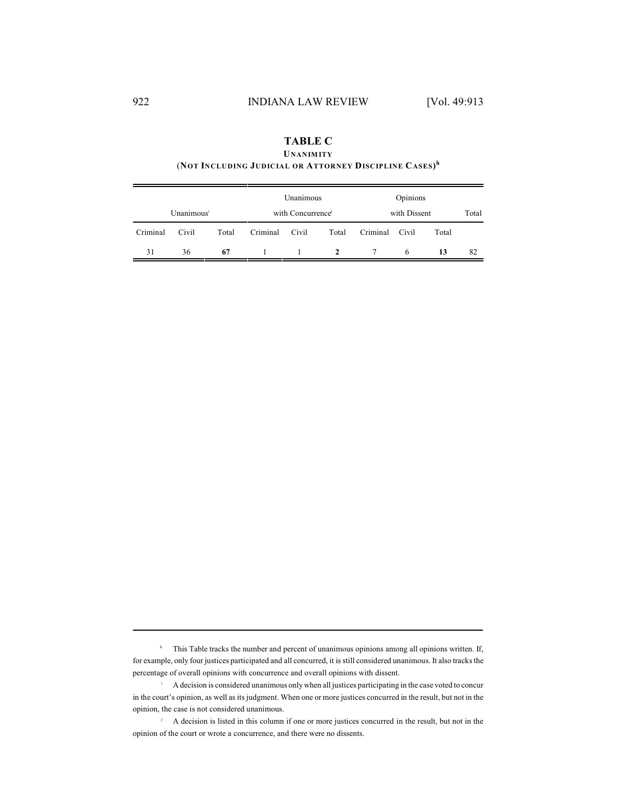| <b>TABLE C</b>                                                     |
|--------------------------------------------------------------------|
| <b>UNANIMITY</b>                                                   |
| (NOT INCLUDING JUDICIAL OR ATTORNEY DISCIPLINE CASES) <sup>h</sup> |

|          |                        |       |          | Unanimous        |              |              | Opinions |       |       |
|----------|------------------------|-------|----------|------------------|--------------|--------------|----------|-------|-------|
|          | Unanimous <sup>i</sup> |       |          | with Concurrence |              | with Dissent |          |       | Total |
| Criminal | Civil                  | Total | Criminal | Civil            | Total        | Criminal     | Civil    | Total |       |
| 31       | 36                     | 67    |          |                  | <sup>2</sup> |              | 6        | 13    | 82    |

<sup>h</sup> This Table tracks the number and percent of unanimous opinions among all opinions written. If, for example, only four justices participated and all concurred, it is still considered unanimous. It also tracks the percentage of overall opinions with concurrence and overall opinions with dissent.

A decision is considered unanimous onlywhen all justices participating in the case voted to concur i in the court's opinion, as well as its judgment. When one or more justices concurred in the result, but not in the opinion, the case is not considered unanimous.

A decision is listed in this column if one or more justices concurred in the result, but not in the j opinion of the court or wrote a concurrence, and there were no dissents.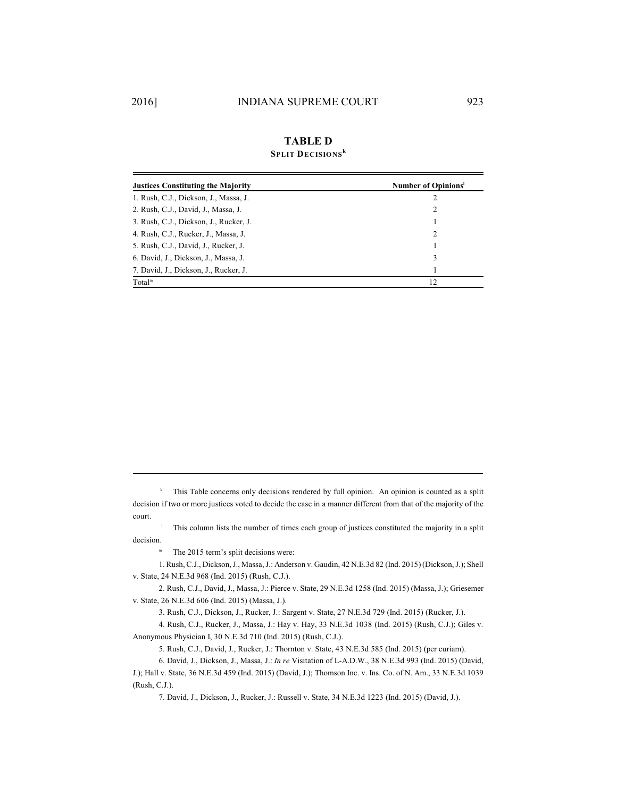#### **TABLE D k**

| <b>SPLIT DECISIONS</b> <sup>K</sup> |
|-------------------------------------|
|                                     |

| <b>Justices Constituting the Majority</b> | Number of Opinions <sup>1</sup> |
|-------------------------------------------|---------------------------------|
| 1. Rush, C.J., Dickson, J., Massa, J.     | 2                               |
| 2. Rush, C.J., David, J., Massa, J.       | $\mathcal{L}$                   |
| 3. Rush, C.J., Dickson, J., Rucker, J.    |                                 |
| 4. Rush, C.J., Rucker, J., Massa, J.      | 2                               |
| 5. Rush, C.J., David, J., Rucker, J.      |                                 |
| 6. David, J., Dickson, J., Massa, J.      | 3                               |
| 7. David, J., Dickson, J., Rucker, J.     |                                 |
| Total <sup>m</sup>                        | 12                              |

<sup>k</sup> This Table concerns only decisions rendered by full opinion. An opinion is counted as a split decision if two or more justices voted to decide the case in a manner different from that of the majority of the court.

<sup>1</sup> This column lists the number of times each group of justices constituted the majority in a split decision.

 $m$  The 2015 term's split decisions were:

1. Rush, C.J., Dickson,J., Massa, J.: Anderson v. Gaudin, 42 N.E.3d 82 (Ind. 2015) (Dickson,J.); Shell v. State, 24 N.E.3d 968 (Ind. 2015) (Rush, C.J.).

2. Rush, C.J., David, J., Massa, J.: Pierce v. State, 29 N.E.3d 1258 (Ind. 2015) (Massa, J.); Griesemer v. State, 26 N.E.3d 606 (Ind. 2015) (Massa, J.).

3. Rush, C.J., Dickson, J., Rucker, J.: Sargent v. State, 27 N.E.3d 729 (Ind. 2015) (Rucker, J.).

4. Rush, C.J., Rucker, J., Massa, J.: Hay v. Hay, 33 N.E.3d 1038 (Ind. 2015) (Rush, C.J.); Giles v. Anonymous Physician I, 30 N.E.3d 710 (Ind. 2015) (Rush, C.J.).

5. Rush, C.J., David, J., Rucker, J.: Thornton v. State, 43 N.E.3d 585 (Ind. 2015) (per curiam).

6. David, J., Dickson, J., Massa, J.: *In re* Visitation of L-A.D.W., 38 N.E.3d 993 (Ind. 2015) (David,

J.); Hall v. State, 36 N.E.3d 459 (Ind. 2015) (David, J.); Thomson Inc. v. Ins. Co. of N. Am., 33 N.E.3d 1039 (Rush, C.J.).

7. David, J., Dickson, J., Rucker, J.: Russell v. State, 34 N.E.3d 1223 (Ind. 2015) (David, J.).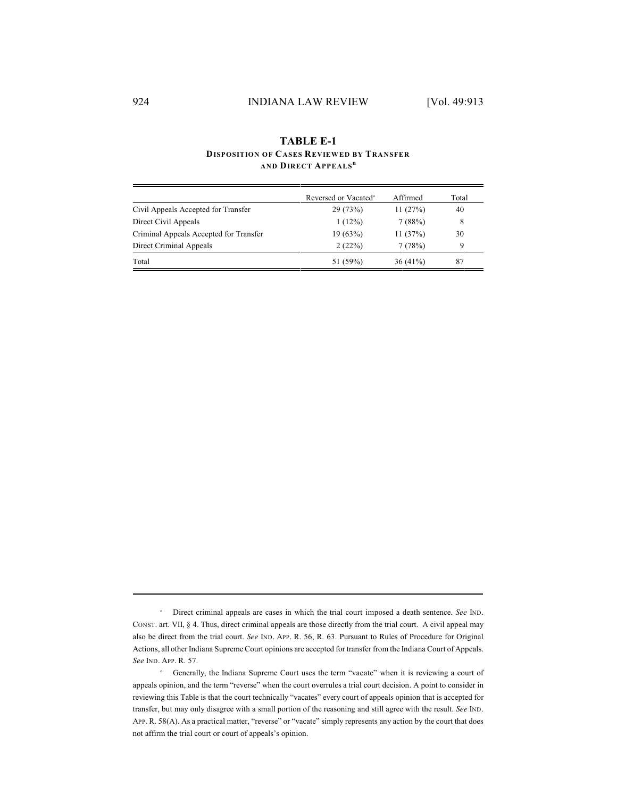## **TABLE E-1 DISPOSITION OF CASES REVIEWED BY TRANSFER AND DIRECT APPEALS n**

|                                        | Reversed or Vacated <sup>o</sup> | Affirmed   | Total |
|----------------------------------------|----------------------------------|------------|-------|
| Civil Appeals Accepted for Transfer    | 29(73%)                          | 11(27%)    | 40    |
| Direct Civil Appeals                   | 1(12%)                           | 7(88%)     | 8     |
| Criminal Appeals Accepted for Transfer | 19(63%)                          | 11(37%)    | 30    |
| Direct Criminal Appeals                | 2(22%)                           | 7(78%)     | 9     |
| Total                                  | 51 (59%)                         | $36(41\%)$ | 87    |

n Direct criminal appeals are cases in which the trial court imposed a death sentence. See IND. CONST. art. VII, § 4. Thus, direct criminal appeals are those directly from the trial court. A civil appeal may also be direct from the trial court. *See* IND. APP. R. 56, R. 63. Pursuant to Rules of Procedure for Original Actions, all other Indiana Supreme Court opinions are accepted for transfer from the Indiana Court of Appeals. *See* IND. APP. R. 57.

<sup>&</sup>lt;sup>o</sup> Generally, the Indiana Supreme Court uses the term "vacate" when it is reviewing a court of appeals opinion, and the term "reverse" when the court overrules a trial court decision. A point to consider in reviewing this Table is that the court technically "vacates" every court of appeals opinion that is accepted for transfer, but may only disagree with a small portion of the reasoning and still agree with the result. *See* IND. APP. R. 58(A). As a practical matter, "reverse" or "vacate" simply represents any action by the court that does not affirm the trial court or court of appeals's opinion.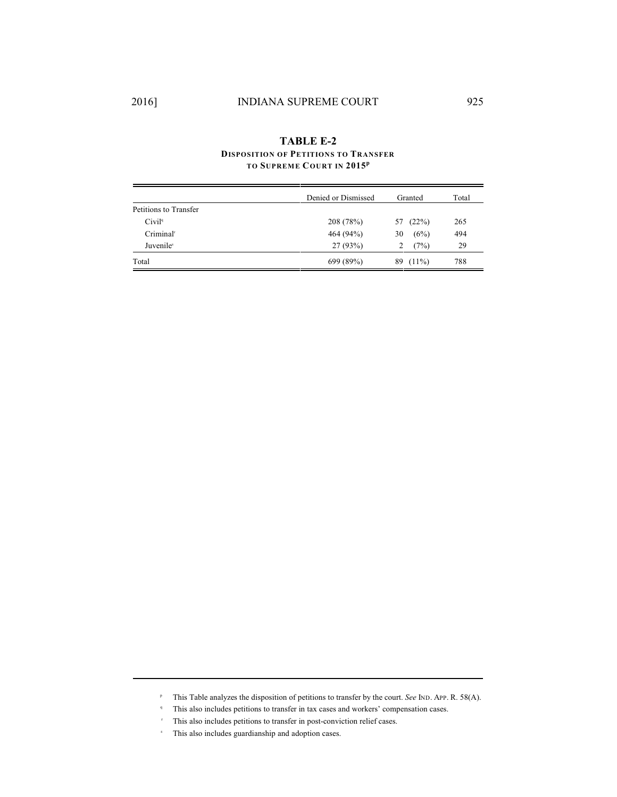## **TABLE E-2 DISPOSITION OF PETITIONS TO TRANSFER TO SUPREME COURT IN 2015 p**

|                       | Denied or Dismissed | Granted        | Total |
|-----------------------|---------------------|----------------|-------|
| Petitions to Transfer |                     |                |       |
| Civil <sup>q</sup>    | 208 (78%)           | (22%)<br>57    | 265   |
| Criminal <sup>r</sup> | 464 (94%)           | (6%)<br>30     | 494   |
| Juvenile <sup>s</sup> | 27(93%)             | (7%)           | 29    |
| Total                 | 699 (89%)           | $(11\%)$<br>89 | 788   |

- <sup>P</sup> This Table analyzes the disposition of petitions to transfer by the court. *See* IND. APP. R. 58(A).
- <sup>q</sup> This also includes petitions to transfer in tax cases and workers' compensation cases.
- $\cdot$  This also includes petitions to transfer in post-conviction relief cases.
- \* This also includes guardianship and adoption cases.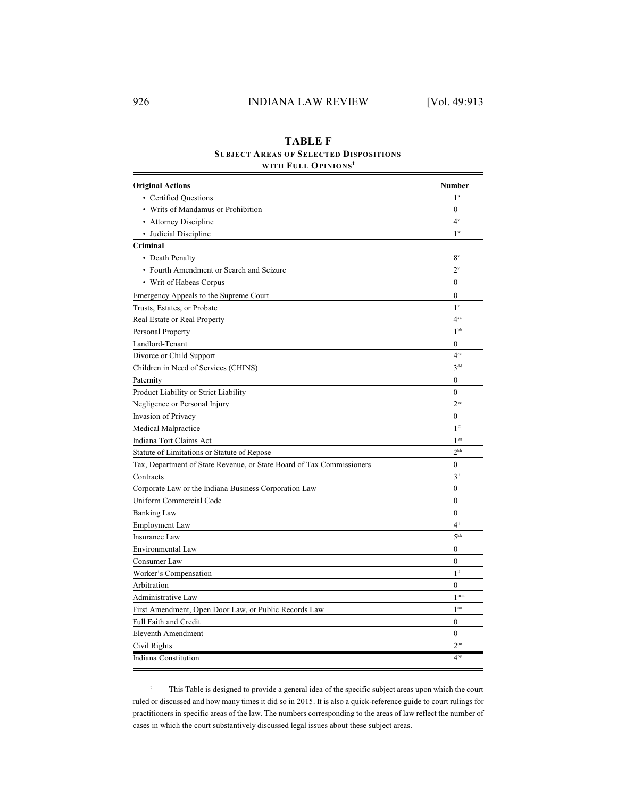## **TABLE F SUBJECT AREAS OF SELECTED DISPOSITIONS WITH FULL OPINIONS t**

| <b>Original Actions</b>                                               | Number           |
|-----------------------------------------------------------------------|------------------|
| • Certified Ouestions                                                 | 1 <sup>u</sup>   |
| • Writs of Mandamus or Prohibition                                    | $\mathbf{0}$     |
| • Attorney Discipline                                                 | $4^v$            |
| • Judicial Discipline                                                 | $1^w$            |
| Criminal                                                              |                  |
| • Death Penalty                                                       | $8^x$            |
| • Fourth Amendment or Search and Seizure                              | $2^y$            |
| • Writ of Habeas Corpus                                               | $\mathbf{0}$     |
| Emergency Appeals to the Supreme Court                                | $\mathbf{0}$     |
| Trusts, Estates, or Probate                                           | 1 <sup>z</sup>   |
| Real Estate or Real Property                                          | $4^{aa}$         |
| Personal Property                                                     | 1 <sub>bp</sub>  |
| Landlord-Tenant                                                       | 0                |
| Divorce or Child Support                                              | 4 <sup>cc</sup>  |
| Children in Need of Services (CHINS)                                  | 3 <sup>dd</sup>  |
| Paternity                                                             | $\mathbf{0}$     |
| Product Liability or Strict Liability                                 | $\Omega$         |
| Negligence or Personal Injury                                         | $2^{\text{ce}}$  |
| Invasion of Privacy                                                   | $\mathbf{0}$     |
| Medical Malpractice                                                   | 1 <sup>ff</sup>  |
| Indiana Tort Claims Act                                               | $1^{ss}$         |
| Statute of Limitations or Statute of Repose                           | 2 <sup>hh</sup>  |
| Tax, Department of State Revenue, or State Board of Tax Commissioners | $\mathbf{0}$     |
| Contracts                                                             | $3$ ii           |
| Corporate Law or the Indiana Business Corporation Law                 | $\mathbf{0}$     |
| Uniform Commercial Code                                               | $\boldsymbol{0}$ |
| <b>Banking Law</b>                                                    | $\theta$         |
| <b>Employment Law</b>                                                 | $4^{jj}$         |
| <b>Insurance Law</b>                                                  | 5 <sup>kk</sup>  |
| Environmental Law                                                     | 0                |
| Consumer Law                                                          | $\mathbf{0}$     |
| Worker's Compensation                                                 | 1 <sup>11</sup>  |
| Arbitration                                                           | $\mathbf{0}$     |
| Administrative Law                                                    | $1^{\text{mm}}$  |
| First Amendment, Open Door Law, or Public Records Law                 | 1 <sup>nn</sup>  |
| <b>Full Faith and Credit</b>                                          | $\boldsymbol{0}$ |
| <b>Eleventh Amendment</b>                                             | $\theta$         |
| Civil Rights                                                          | $2^{oo}$         |
| Indiana Constitution                                                  | 4 <sup>pp</sup>  |

this Table is designed to provide a general idea of the specific subject areas upon which the court ruled or discussed and how many times it did so in 2015. It is also a quick-reference guide to court rulings for practitioners in specific areas of the law. The numbers corresponding to the areas of law reflect the number of cases in which the court substantively discussed legal issues about these subject areas.